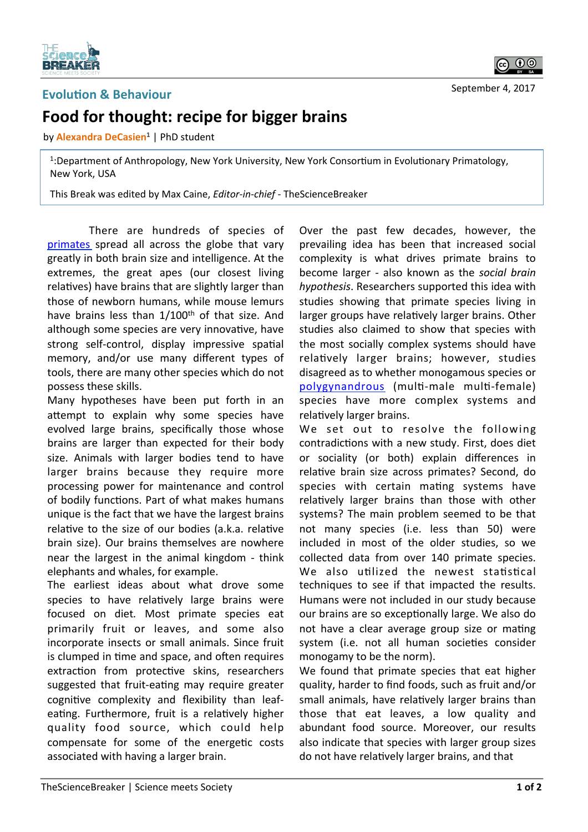

## **Evolution & Behaviour**

## Food for thought: recipe for bigger brains

by **Alexandra DeCasien<sup>1</sup>** | PhD student

<sup>1</sup>:Department of Anthropology, New York University, New York Consortium in Evolutionary Primatology, New York, USA

This Break was edited by Max Caine, *Editor-in-chief* - TheScienceBreaker

There are hundreds of species of primates spread all across the globe that vary greatly in both brain size and intelligence. At the extremes, the great apes (our closest living relatives) have brains that are slightly larger than those of newborn humans, while mouse lemurs have brains less than  $1/100$ <sup>th</sup> of that size. And although some species are very innovative, have strong self-control, display impressive spatial memory, and/or use many different types of tools, there are many other species which do not possess these skills.

Many hypotheses have been put forth in an attempt to explain why some species have evolved large brains, specifically those whose brains are larger than expected for their body size. Animals with larger bodies tend to have larger brains because they require more processing power for maintenance and control of bodily functions. Part of what makes humans unique is the fact that we have the largest brains relative to the size of our bodies  $(a.k.a.$  relative brain size). Our brains themselves are nowhere near the largest in the animal kingdom - think elephants and whales, for example.

The earliest ideas about what drove some species to have relatively large brains were focused on diet*.* Most primate species eat primarily fruit or leaves, and some also incorporate insects or small animals. Since fruit is clumped in time and space, and often requires extraction from protective skins, researchers suggested that fruit-eating may require greater cognitive complexity and flexibility than leafeating. Furthermore, fruit is a relatively higher quality food source, which could help compensate for some of the energetic costs associated with having a larger brain.

Over the past few decades, however, the prevailing idea has been that increased social complexity is what drives primate brains to become larger - also known as the *social brain hypothesis*. Researchers supported this idea with studies showing that primate species living in larger groups have relatively larger brains. Other studies also claimed to show that species with the most socially complex systems should have relatively larger brains; however, studies disagreed as to whether monogamous species or polygynandrous (multi-male multi-female) species have more complex systems and relatively larger brains.

We set out to resolve the following contradictions with a new study. First, does diet or sociality (or both) explain differences in relative brain size across primates? Second, do species with certain mating systems have relatively larger brains than those with other systems? The main problem seemed to be that not many species (i.e. less than 50) were included in most of the older studies, so we collected data from over 140 primate species. We also utilized the newest statistical techniques to see if that impacted the results. Humans were not included in our study because our brains are so exceptionally large. We also do not have a clear average group size or mating system (i.e. not all human societies consider monogamy to be the norm).

We found that primate species that eat higher quality, harder to find foods, such as fruit and/or small animals, have relatively larger brains than those that eat leaves, a low quality and abundant food source. Moreover, our results also indicate that species with larger group sizes do not have relatively larger brains, and that